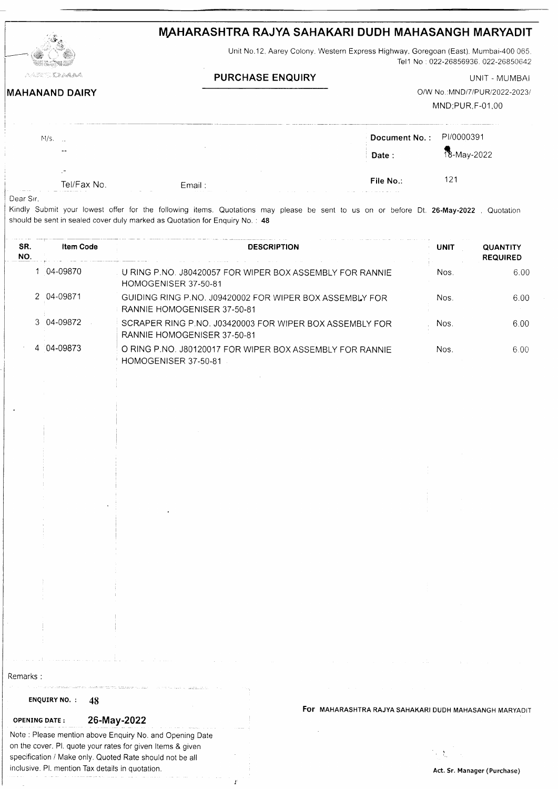# MAHARASHTRA RAJYA SAHAKARI DUDH MAHASANGH MARYADIT

Unit No.12, Aarey Colony. Western Express Highway, Goregoan (East), Mumbai-400 065, Tel1 No: 022-26856936. 022-26850642

### **PURCHASE ENQUIRY** UNIT - MUMBAI

## **MAHANAND DAIRY**

O/W No.: MND/7/PUR/2022-2023/ MND;PUR,F-01.00

| $M/s$ .     |         | Document No.: PI/0000391<br><b>College College</b> |             |
|-------------|---------|----------------------------------------------------|-------------|
| $- -$       | $\sim$  | Date:                                              | 18-May-2022 |
| Tel/Fax No. | Email : | File No.:                                          | 121         |

Dear Sir.

Kindly Submit your lowest offer for the following items. Quotations may please be sent to us on or before Dt. 26-May-2022, Quotatior should be sent in sealed cover duly marked as Quotation for Enquiry No. : 48

| SR.<br>NO. | <b>Item Code</b> | <b>DESCRIPTION</b>                                                                       | <b>UNIT</b> | <b>QUANTITY</b><br><b>REQUIRED</b> |
|------------|------------------|------------------------------------------------------------------------------------------|-------------|------------------------------------|
|            | 04-09870         | U RING P.NO. J80420057 FOR WIPER BOX ASSEMBLY FOR RANNIE<br>HOMOGENISER 37-50-81         | Nos.        | 6.00                               |
|            | 2 04-09871       | GUIDING RING P.NO. J09420002 FOR WIPER BOX ASSEMBLY FOR<br>⊧ RANNIE HOMOGENISER 37-50-81 | Nos.        | 6.00                               |
|            | 3 04-09872       | SCRAPER RING P.NO. J03420003 FOR WIPER BOX ASSEMBLY FOR<br>RANNIE HOMOGENISER 37-50-81   | Nos.        | 6.00                               |
|            | 4 04-09873       | O RING P.NO. J80120017 FOR WIPER BOX ASSEMBLY FOR RANNIE<br>HOMOGENISER 37-50-81         | Nos.        | 6.00                               |

Remarks :

### ENQUIRY NO. : 48

### oPENTNG DArE: 26-May-2022

Note : Please mention above Enquiry No. and Opening Date on the cover. Pl. quote your rates for given ltems & given specification / Make only. Quoted Rate should not be all inclusive. Pl. mention Tax details in quotation.

Ï

For MAHARASHTRA RAJYA SAHAKARI DUDH MAHASANGH MARYADIT